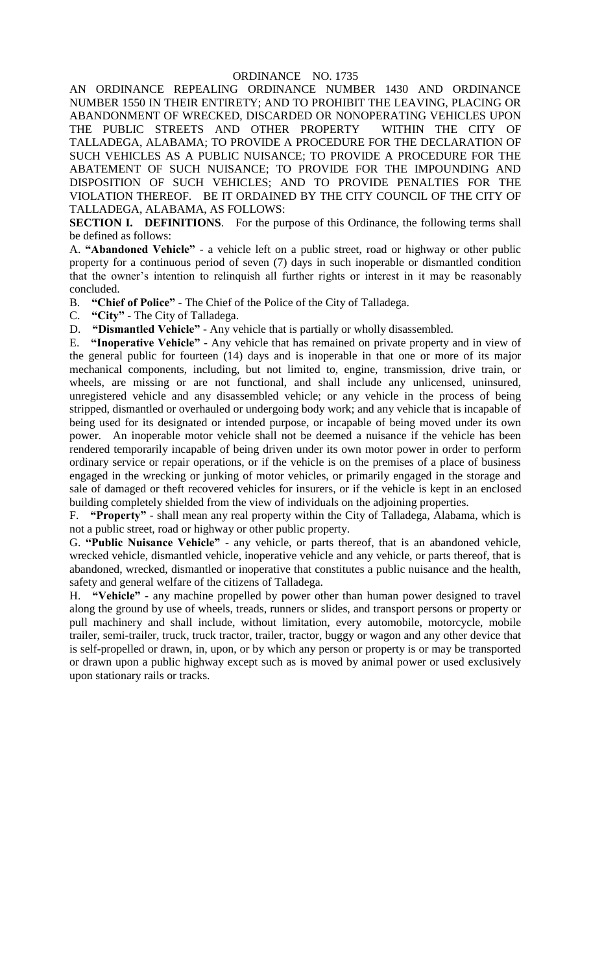#### ORDINANCE NO. 1735

AN ORDINANCE REPEALING ORDINANCE NUMBER 1430 AND ORDINANCE NUMBER 1550 IN THEIR ENTIRETY; AND TO PROHIBIT THE LEAVING, PLACING OR ABANDONMENT OF WRECKED, DISCARDED OR NONOPERATING VEHICLES UPON THE PUBLIC STREETS AND OTHER PROPERTY WITHIN THE CITY OF TALLADEGA, ALABAMA; TO PROVIDE A PROCEDURE FOR THE DECLARATION OF SUCH VEHICLES AS A PUBLIC NUISANCE; TO PROVIDE A PROCEDURE FOR THE ABATEMENT OF SUCH NUISANCE; TO PROVIDE FOR THE IMPOUNDING AND DISPOSITION OF SUCH VEHICLES; AND TO PROVIDE PENALTIES FOR THE VIOLATION THEREOF. BE IT ORDAINED BY THE CITY COUNCIL OF THE CITY OF TALLADEGA, ALABAMA, AS FOLLOWS:

**SECTION I. DEFINITIONS**. For the purpose of this Ordinance, the following terms shall be defined as follows:

A. **"Abandoned Vehicle"** - a vehicle left on a public street, road or highway or other public property for a continuous period of seven (7) days in such inoperable or dismantled condition that the owner's intention to relinquish all further rights or interest in it may be reasonably concluded.

B. **"Chief of Police"** - The Chief of the Police of the City of Talladega.

C. **"City"** - The City of Talladega.

D. **"Dismantled Vehicle"** - Any vehicle that is partially or wholly disassembled.

E. **"Inoperative Vehicle"** - Any vehicle that has remained on private property and in view of the general public for fourteen (14) days and is inoperable in that one or more of its major mechanical components, including, but not limited to, engine, transmission, drive train, or wheels, are missing or are not functional, and shall include any unlicensed, uninsured, unregistered vehicle and any disassembled vehicle; or any vehicle in the process of being stripped, dismantled or overhauled or undergoing body work; and any vehicle that is incapable of being used for its designated or intended purpose, or incapable of being moved under its own power. An inoperable motor vehicle shall not be deemed a nuisance if the vehicle has been rendered temporarily incapable of being driven under its own motor power in order to perform ordinary service or repair operations, or if the vehicle is on the premises of a place of business engaged in the wrecking or junking of motor vehicles, or primarily engaged in the storage and sale of damaged or theft recovered vehicles for insurers, or if the vehicle is kept in an enclosed building completely shielded from the view of individuals on the adjoining properties.

F. **"Property"** - shall mean any real property within the City of Talladega, Alabama, which is not a public street, road or highway or other public property.

G. **"Public Nuisance Vehicle"** - any vehicle, or parts thereof, that is an abandoned vehicle, wrecked vehicle, dismantled vehicle, inoperative vehicle and any vehicle, or parts thereof, that is abandoned, wrecked, dismantled or inoperative that constitutes a public nuisance and the health, safety and general welfare of the citizens of Talladega.

H. **"Vehicle"** - any machine propelled by power other than human power designed to travel along the ground by use of wheels, treads, runners or slides, and transport persons or property or pull machinery and shall include, without limitation, every automobile, motorcycle, mobile trailer, semi-trailer, truck, truck tractor, trailer, tractor, buggy or wagon and any other device that is self-propelled or drawn, in, upon, or by which any person or property is or may be transported or drawn upon a public highway except such as is moved by animal power or used exclusively upon stationary rails or tracks.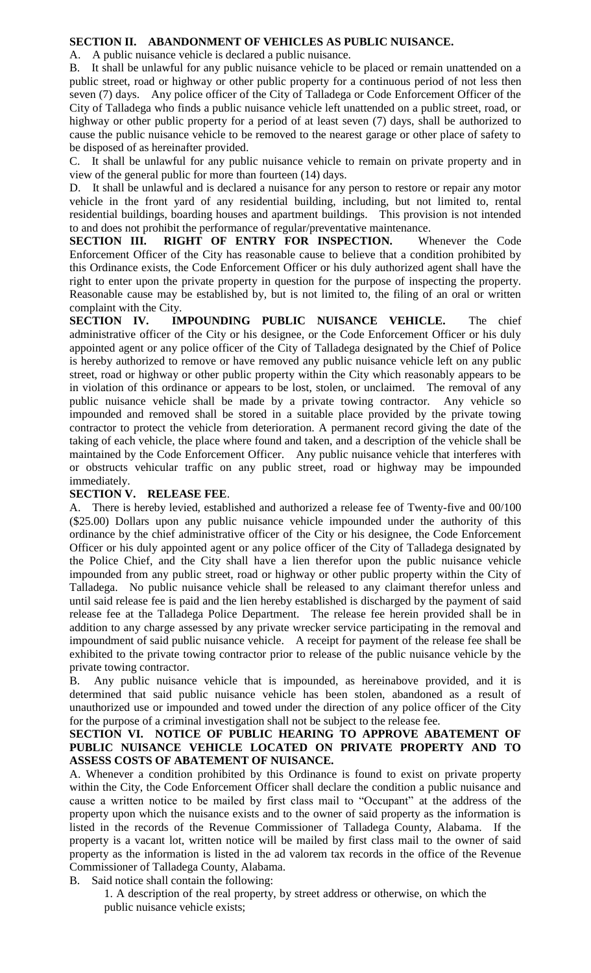### **SECTION II. ABANDONMENT OF VEHICLES AS PUBLIC NUISANCE.**

A. A public nuisance vehicle is declared a public nuisance.

B. It shall be unlawful for any public nuisance vehicle to be placed or remain unattended on a public street, road or highway or other public property for a continuous period of not less then seven (7) days. Any police officer of the City of Talladega or Code Enforcement Officer of the City of Talladega who finds a public nuisance vehicle left unattended on a public street, road, or highway or other public property for a period of at least seven (7) days, shall be authorized to cause the public nuisance vehicle to be removed to the nearest garage or other place of safety to be disposed of as hereinafter provided.

C. It shall be unlawful for any public nuisance vehicle to remain on private property and in view of the general public for more than fourteen (14) days.

D. It shall be unlawful and is declared a nuisance for any person to restore or repair any motor vehicle in the front yard of any residential building, including, but not limited to, rental residential buildings, boarding houses and apartment buildings. This provision is not intended to and does not prohibit the performance of regular/preventative maintenance.

**SECTION III. RIGHT OF ENTRY FOR INSPECTION.** Whenever the Code Enforcement Officer of the City has reasonable cause to believe that a condition prohibited by this Ordinance exists, the Code Enforcement Officer or his duly authorized agent shall have the right to enter upon the private property in question for the purpose of inspecting the property. Reasonable cause may be established by, but is not limited to, the filing of an oral or written complaint with the City.

**SECTION IV. IMPOUNDING PUBLIC NUISANCE VEHICLE.** The chief administrative officer of the City or his designee, or the Code Enforcement Officer or his duly appointed agent or any police officer of the City of Talladega designated by the Chief of Police is hereby authorized to remove or have removed any public nuisance vehicle left on any public street, road or highway or other public property within the City which reasonably appears to be in violation of this ordinance or appears to be lost, stolen, or unclaimed. The removal of any public nuisance vehicle shall be made by a private towing contractor. Any vehicle so impounded and removed shall be stored in a suitable place provided by the private towing contractor to protect the vehicle from deterioration. A permanent record giving the date of the taking of each vehicle, the place where found and taken, and a description of the vehicle shall be maintained by the Code Enforcement Officer. Any public nuisance vehicle that interferes with or obstructs vehicular traffic on any public street, road or highway may be impounded immediately.

#### **SECTION V. RELEASE FEE**.

A. There is hereby levied, established and authorized a release fee of Twenty-five and 00/100 (\$25.00) Dollars upon any public nuisance vehicle impounded under the authority of this ordinance by the chief administrative officer of the City or his designee, the Code Enforcement Officer or his duly appointed agent or any police officer of the City of Talladega designated by the Police Chief, and the City shall have a lien therefor upon the public nuisance vehicle impounded from any public street, road or highway or other public property within the City of Talladega. No public nuisance vehicle shall be released to any claimant therefor unless and until said release fee is paid and the lien hereby established is discharged by the payment of said release fee at the Talladega Police Department. The release fee herein provided shall be in addition to any charge assessed by any private wrecker service participating in the removal and impoundment of said public nuisance vehicle. A receipt for payment of the release fee shall be exhibited to the private towing contractor prior to release of the public nuisance vehicle by the private towing contractor.

B. Any public nuisance vehicle that is impounded, as hereinabove provided, and it is determined that said public nuisance vehicle has been stolen, abandoned as a result of unauthorized use or impounded and towed under the direction of any police officer of the City for the purpose of a criminal investigation shall not be subject to the release fee.

## **SECTION VI. NOTICE OF PUBLIC HEARING TO APPROVE ABATEMENT OF PUBLIC NUISANCE VEHICLE LOCATED ON PRIVATE PROPERTY AND TO ASSESS COSTS OF ABATEMENT OF NUISANCE.**

A. Whenever a condition prohibited by this Ordinance is found to exist on private property within the City, the Code Enforcement Officer shall declare the condition a public nuisance and cause a written notice to be mailed by first class mail to "Occupant" at the address of the property upon which the nuisance exists and to the owner of said property as the information is listed in the records of the Revenue Commissioner of Talladega County, Alabama. If the property is a vacant lot, written notice will be mailed by first class mail to the owner of said property as the information is listed in the ad valorem tax records in the office of the Revenue Commissioner of Talladega County, Alabama.

B. Said notice shall contain the following:

1. A description of the real property, by street address or otherwise, on which the public nuisance vehicle exists;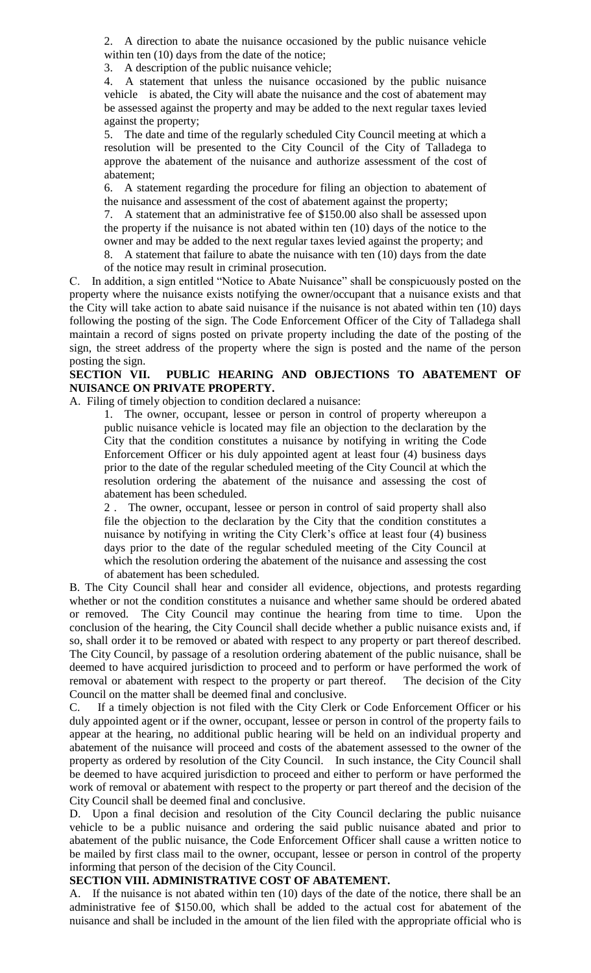2. A direction to abate the nuisance occasioned by the public nuisance vehicle within ten  $(10)$  days from the date of the notice;

3. A description of the public nuisance vehicle;

4. A statement that unless the nuisance occasioned by the public nuisance vehicle is abated, the City will abate the nuisance and the cost of abatement may be assessed against the property and may be added to the next regular taxes levied against the property;

5. The date and time of the regularly scheduled City Council meeting at which a resolution will be presented to the City Council of the City of Talladega to approve the abatement of the nuisance and authorize assessment of the cost of abatement;

6. A statement regarding the procedure for filing an objection to abatement of the nuisance and assessment of the cost of abatement against the property;

7. A statement that an administrative fee of \$150.00 also shall be assessed upon the property if the nuisance is not abated within ten (10) days of the notice to the owner and may be added to the next regular taxes levied against the property; and

8. A statement that failure to abate the nuisance with ten (10) days from the date of the notice may result in criminal prosecution.

C. In addition, a sign entitled "Notice to Abate Nuisance" shall be conspicuously posted on the property where the nuisance exists notifying the owner/occupant that a nuisance exists and that the City will take action to abate said nuisance if the nuisance is not abated within ten (10) days following the posting of the sign. The Code Enforcement Officer of the City of Talladega shall maintain a record of signs posted on private property including the date of the posting of the sign, the street address of the property where the sign is posted and the name of the person posting the sign.

### **SECTION VII. PUBLIC HEARING AND OBJECTIONS TO ABATEMENT OF NUISANCE ON PRIVATE PROPERTY.**

A. Filing of timely objection to condition declared a nuisance:

1. The owner, occupant, lessee or person in control of property whereupon a public nuisance vehicle is located may file an objection to the declaration by the City that the condition constitutes a nuisance by notifying in writing the Code Enforcement Officer or his duly appointed agent at least four (4) business days prior to the date of the regular scheduled meeting of the City Council at which the resolution ordering the abatement of the nuisance and assessing the cost of abatement has been scheduled.

2 . The owner, occupant, lessee or person in control of said property shall also file the objection to the declaration by the City that the condition constitutes a nuisance by notifying in writing the City Clerk's office at least four (4) business days prior to the date of the regular scheduled meeting of the City Council at which the resolution ordering the abatement of the nuisance and assessing the cost of abatement has been scheduled.

B. The City Council shall hear and consider all evidence, objections, and protests regarding whether or not the condition constitutes a nuisance and whether same should be ordered abated or removed. The City Council may continue the hearing from time to time. Upon the conclusion of the hearing, the City Council shall decide whether a public nuisance exists and, if so, shall order it to be removed or abated with respect to any property or part thereof described. The City Council, by passage of a resolution ordering abatement of the public nuisance, shall be deemed to have acquired jurisdiction to proceed and to perform or have performed the work of removal or abatement with respect to the property or part thereof. The decision of the City Council on the matter shall be deemed final and conclusive.

C. If a timely objection is not filed with the City Clerk or Code Enforcement Officer or his duly appointed agent or if the owner, occupant, lessee or person in control of the property fails to appear at the hearing, no additional public hearing will be held on an individual property and abatement of the nuisance will proceed and costs of the abatement assessed to the owner of the property as ordered by resolution of the City Council. In such instance, the City Council shall be deemed to have acquired jurisdiction to proceed and either to perform or have performed the work of removal or abatement with respect to the property or part thereof and the decision of the City Council shall be deemed final and conclusive.

D. Upon a final decision and resolution of the City Council declaring the public nuisance vehicle to be a public nuisance and ordering the said public nuisance abated and prior to abatement of the public nuisance, the Code Enforcement Officer shall cause a written notice to be mailed by first class mail to the owner, occupant, lessee or person in control of the property informing that person of the decision of the City Council.

### **SECTION VIII. ADMINISTRATIVE COST OF ABATEMENT.**

A. If the nuisance is not abated within ten (10) days of the date of the notice, there shall be an administrative fee of \$150.00, which shall be added to the actual cost for abatement of the nuisance and shall be included in the amount of the lien filed with the appropriate official who is